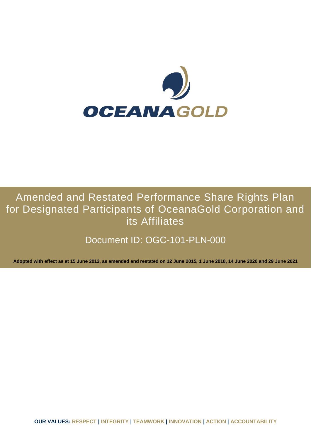

# Amended and Restated Performance Share Rights Plan for Designated Participants of OceanaGold Corporation and its Affiliates

# Document ID: OGC-101-PLN-000

**Adopted with effect as at 15 June 2012, as amended and restated on 12 June 2015, 1 June 2018, 14 June 2020 and 29 June 2021**

**OUR VALUES: RESPECT | INTEGRITY | TEAMWORK | INNOVATION | ACTION | ACCOUNTABILITY**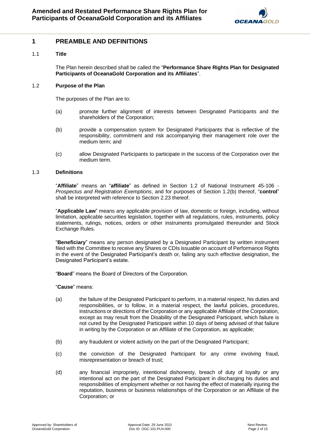

### **1 PREAMBLE AND DEFINITIONS**

#### 1.1 **Title**

The Plan herein described shall be called the "**Performance Share Rights Plan for Designated Participants of OceanaGold Corporation and its Affiliates**".

#### 1.2 **Purpose of the Plan**

The purposes of the Plan are to:

- (a) promote further alignment of interests between Designated Participants and the shareholders of the Corporation;
- (b) provide a compensation system for Designated Participants that is reflective of the responsibility, commitment and risk accompanying their management role over the medium term; and
- (c) allow Designated Participants to participate in the success of the Corporation over the medium term.

#### 1.3 **Definitions**

"**Affiliate**" means an "**affiliate**" as defined in Section 1.2 of National Instrument 45-106 - *Prospectus and Registration Exemptions*, and for purposes of Section 1.2(b) thereof, "**control**" shall be interpreted with reference to Section 2.23 thereof.

"**Applicable Law**" means any applicable provision of law, domestic or foreign, including, without limitation, applicable securities legislation, together with all regulations, rules, instruments, policy statements, rulings, notices, orders or other instruments promulgated thereunder and Stock Exchange Rules.

"**Beneficiary**" means any person designated by a Designated Participant by written instrument filed with the Committee to receive any Shares or CDIs issuable on account of Performance Rights in the event of the Designated Participant's death or, failing any such effective designation, the Designated Participant's estate.

"**Board**" means the Board of Directors of the Corporation.

"**Cause**" means:

- (a) the failure of the Designated Participant to perform, in a material respect, his duties and responsibilities, or to follow, in a material respect, the lawful policies, procedures, instructions or directions of the Corporation or any applicable Affiliate of the Corporation, except as may result from the Disability of the Designated Participant, which failure is not cured by the Designated Participant within 10 days of being advised of that failure in writing by the Corporation or an Affiliate of the Corporation, as applicable;
- (b) any fraudulent or violent activity on the part of the Designated Participant;
- (c) the conviction of the Designated Participant for any crime involving fraud, misrepresentation or breach of trust;
- (d) any financial impropriety, intentional dishonesty, breach of duty of loyalty or any intentional act on the part of the Designated Participant in discharging his duties and responsibilities of employment whether or not having the effect of materially injuring the reputation, business or business relationships of the Corporation or an Affiliate of the Corporation; or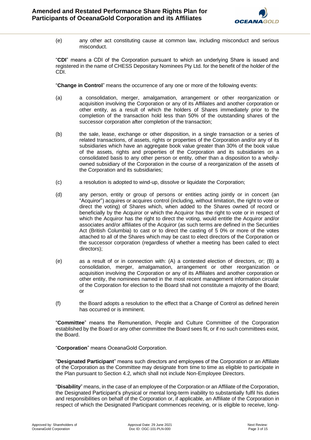

(e) any other act constituting cause at common law, including misconduct and serious misconduct.

"**CDI**" means a CDI of the Corporation pursuant to which an underlying Share is issued and registered in the name of CHESS Depositary Nominees Pty Ltd. for the benefit of the holder of the CDI.

"**Change in Control**" means the occurrence of any one or more of the following events:

- (a) a consolidation, merger, amalgamation, arrangement or other reorganization or acquisition involving the Corporation or any of its Affiliates and another corporation or other entity, as a result of which the holders of Shares immediately prior to the completion of the transaction hold less than 50% of the outstanding shares of the successor corporation after completion of the transaction;
- (b) the sale, lease, exchange or other disposition, in a single transaction or a series of related transactions, of assets, rights or properties of the Corporation and/or any of its subsidiaries which have an aggregate book value greater than 30% of the book value of the assets, rights and properties of the Corporation and its subsidiaries on a consolidated basis to any other person or entity, other than a disposition to a whollyowned subsidiary of the Corporation in the course of a reorganization of the assets of the Corporation and its subsidiaries;
- (c) a resolution is adopted to wind-up, dissolve or liquidate the Corporation;
- (d) any person, entity or group of persons or entities acting jointly or in concert (an "Acquiror") acquires or acquires control (including, without limitation, the right to vote or direct the voting) of Shares which, when added to the Shares owned of record or beneficially by the Acquiror or which the Acquiror has the right to vote or in respect of which the Acquiror has the right to direct the voting, would entitle the Acquiror and/or associates and/or affiliates of the Acquiror (as such terms are defined in the Securities Act (British Columbia) to cast or to direct the casting of 5 0% or more of the votes attached to all of the Shares which may be cast to elect directors of the Corporation or the successor corporation (regardless of whether a meeting has been called to elect directors);
- (e) as a result of or in connection with: (A) a contested election of directors, or; (B) a consolidation, merger, amalgamation, arrangement or other reorganization or acquisition involving the Corporation or any of its Affiliates and another corporation or other entity, the nominees named in the most recent management information circular of the Corporation for election to the Board shall not constitute a majority of the Board; or
- (f) the Board adopts a resolution to the effect that a Change of Control as defined herein has occurred or is imminent.

"**Committee**" means the Remuneration, People and Culture Committee of the Corporation established by the Board or any other committee the Board sees fit, or if no such committees exist, the Board.

"**Corporation**" means OceanaGold Corporation.

"**Designated Participant**" means such directors and employees of the Corporation or an Affiliate of the Corporation as the Committee may designate from time to time as eligible to participate in the Plan pursuant to Section 4.2, which shall not include Non-Employee Directors.

"**Disability**" means, in the case of an employee of the Corporation or an Affiliate of the Corporation, the Designated Participant's physical or mental long-term inability to substantially fulfil his duties and responsibilities on behalf of the Corporation or, if applicable, an Affiliate of the Corporation in respect of which the Designated Participant commences receiving, or is eligible to receive, long-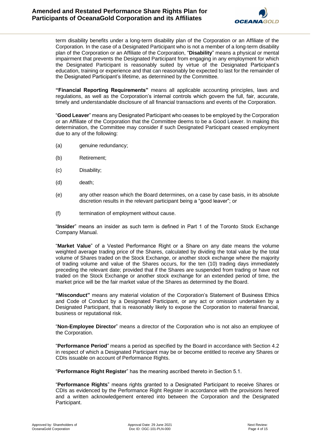

term disability benefits under a long-term disability plan of the Corporation or an Affiliate of the Corporation. In the case of a Designated Participant who is not a member of a long-term disability plan of the Corporation or an Affiliate of the Corporation, "**Disability**" means a physical or mental impairment that prevents the Designated Participant from engaging in any employment for which the Designated Participant is reasonably suited by virtue of the Designated Participant's education, training or experience and that can reasonably be expected to last for the remainder of the Designated Participant's lifetime, as determined by the Committee.

**"Financial Reporting Requirements"** means all applicable accounting principles, laws and regulations, as well as the Corporation's internal controls which govern the full, fair, accurate, timely and understandable disclosure of all financial transactions and events of the Corporation.

"**Good Leaver**" means any Designated Participant who ceases to be employed by the Corporation or an Affiliate of the Corporation that the Committee deems to be a Good Leaver. In making this determination, the Committee may consider if such Designated Participant ceased employment due to any of the following:

- (a) genuine redundancy;
- (b) Retirement;
- (c) Disability;
- (d) death;
- (e) any other reason which the Board determines, on a case by case basis, in its absolute discretion results in the relevant participant being a "good leaver"; or
- (f) termination of employment without cause.

"**Insider**" means an insider as such term is defined in Part 1 of the Toronto Stock Exchange Company Manual.

"**Market Value**" of a Vested Performance Right or a Share on any date means the volume weighted average trading price of the Shares, calculated by dividing the total value by the total volume of Shares traded on the Stock Exchange, or another stock exchange where the majority of trading volume and value of the Shares occurs, for the ten (10) trading days immediately preceding the relevant date; provided that if the Shares are suspended from trading or have not traded on the Stock Exchange or another stock exchange for an extended period of time, the market price will be the fair market value of the Shares as determined by the Board.

**"Misconduct"** means any material violation of the Corporation's Statement of Business Ethics and Code of Conduct by a Designated Participant, or any act or omission undertaken by a Designated Participant, that is reasonably likely to expose the Corporation to material financial, business or reputational risk.

"**Non-Employee Director**" means a director of the Corporation who is not also an employee of the Corporation.

"**Performance Period**" means a period as specified by the Board in accordance with Section 4.2 in respect of which a Designated Participant may be or become entitled to receive any Shares or CDIs issuable on account of Performance Rights.

"**Performance Right Register**" has the meaning ascribed thereto in Section 5.1.

"**Performance Rights**" means rights granted to a Designated Participant to receive Shares or CDIs as evidenced by the Performance Right Register in accordance with the provisions hereof and a written acknowledgement entered into between the Corporation and the Designated Participant.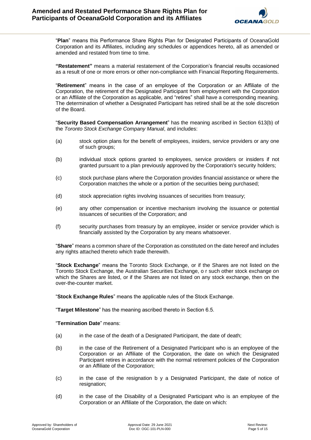

"**Plan**" means this Performance Share Rights Plan for Designated Participants of OceanaGold Corporation and its Affiliates, including any schedules or appendices hereto, all as amended or amended and restated from time to time.

**"Restatement"** means a material restatement of the Corporation's financial results occasioned as a result of one or more errors or other non-compliance with Financial Reporting Requirements.

"**Retirement**" means in the case of an employee of the Corporation or an Affiliate of the Corporation, the retirement of the Designated Participant from employment with the Corporation or an Affiliate of the Corporation as applicable, and "retires" shall have a corresponding meaning. The determination of whether a Designated Participant has retired shall be at the sole discretion of the Board.

"**Security Based Compensation Arrangement**" has the meaning ascribed in Section 613(b) of the *Toronto Stock Exchange Company Manual*, and includes:

- (a) stock option plans for the benefit of employees, insiders, service providers or any one of such groups;
- (b) individual stock options granted to employees, service providers or insiders if not granted pursuant to a plan previously approved by the Corporation's security holders;
- (c) stock purchase plans where the Corporation provides financial assistance or where the Corporation matches the whole or a portion of the securities being purchased;
- (d) stock appreciation rights involving issuances of securities from treasury;
- (e) any other compensation or incentive mechanism involving the issuance or potential issuances of securities of the Corporation; and
- (f) security purchases from treasury by an employee, insider or service provider which is financially assisted by the Corporation by any means whatsoever.

"**Share**" means a common share of the Corporation as constituted on the date hereof and includes any rights attached thereto which trade therewith.

"**Stock Exchange**" means the Toronto Stock Exchange, or if the Shares are not listed on the Toronto Stock Exchange, the Australian Securities Exchange, o r such other stock exchange on which the Shares are listed, or if the Shares are not listed on any stock exchange, then on the over-the-counter market.

"**Stock Exchange Rules**" means the applicable rules of the Stock Exchange.

"**Target Milestone**" has the meaning ascribed thereto in Section 6.5.

"**Termination Date**" means:

- (a) in the case of the death of a Designated Participant, the date of death;
- (b) in the case of the Retirement of a Designated Participant who is an employee of the Corporation or an Affiliate of the Corporation, the date on which the Designated Participant retires in accordance with the normal retirement policies of the Corporation or an Affiliate of the Corporation;
- (c) in the case of the resignation b y a Designated Participant, the date of notice of resignation;
- (d) in the case of the Disability of a Designated Participant who is an employee of the Corporation or an Affiliate of the Corporation, the date on which: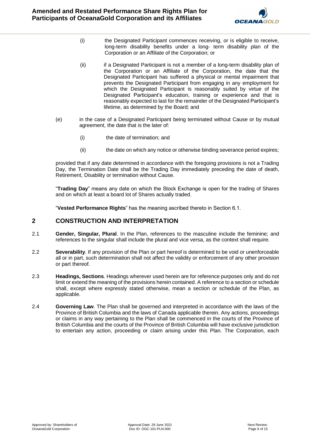

- (i) the Designated Participant commences receiving, or is eligible to receive, long-term disability benefits under a long- term disability plan of the Corporation or an Affiliate of the Corporation; or
- (ii) if a Designated Participant is not a member of a long-term disability plan of the Corporation or an Affiliate of the Corporation, the date that the Designated Participant has suffered a physical or mental impairment that prevents the Designated Participant from engaging in any employment for which the Designated Participant is reasonably suited by virtue of the Designated Participant's education, training or experience and that is reasonably expected to last for the remainder of the Designated Participant's lifetime, as determined by the Board; and
- (e) in the case of a Designated Participant being terminated without Cause or by mutual agreement, the date that is the later of:
	- (i) the date of termination; and
	- (ii) the date on which any notice or otherwise binding severance period expires;

provided that if any date determined in accordance with the foregoing provisions is not a Trading Day, the Termination Date shall be the Trading Day immediately preceding the date of death, Retirement, Disability or termination without Cause.

"**Trading Day**" means any date on which the Stock Exchange is open for the trading of Shares and on which at least a board lot of Shares actually traded.

"**Vested Performance Rights**" has the meaning ascribed thereto in Section 6.1.

## **2 CONSTRUCTION AND INTERPRETATION**

- 2.1 **Gender, Singular, Plural**. In the Plan, references to the masculine include the feminine; and references to the singular shall include the plural and vice versa, as the context shall require.
- 2.2 **Severability**. If any provision of the Plan or part hereof is determined to be void or unenforceable all or in part, such determination shall not affect the validity or enforcement of any other provision or part thereof.
- 2.3 **Headings, Sections**. Headings wherever used herein are for reference purposes only and do not limit or extend the meaning of the provisions herein contained. A reference to a section or schedule shall, except where expressly stated otherwise, mean a section or schedule of the Plan, as applicable.
- 2.4 **Governing Law**. The Plan shall be governed and interpreted in accordance with the laws of the Province of British Columbia and the laws of Canada applicable therein. Any actions, proceedings or claims in any way pertaining to the Plan shall be commenced in the courts of the Province of British Columbia and the courts of the Province of British Columbia will have exclusive jurisdiction to entertain any action, proceeding or claim arising under this Plan. The Corporation, each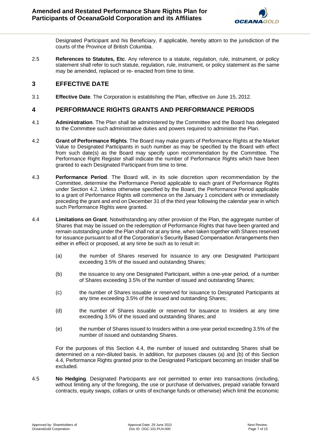

Designated Participant and his Beneficiary, if applicable, hereby attorn to the jurisdiction of the courts of the Province of British Columbia.

2.5 **References to Statutes, Etc**. Any reference to a statute, regulation, rule, instrument, or policy statement shall refer to such statute, regulation, rule, instrument, or policy statement as the same may be amended, replaced or re- enacted from time to time.

# **3 EFFECTIVE DATE**

3.1 **Effective Date**. The Corporation is establishing the Plan, effective on June 15, 2012.

# **4 PERFORMANCE RIGHTS GRANTS AND PERFORMANCE PERIODS**

- 4.1 **Administration**. The Plan shall be administered by the Committee and the Board has delegated to the Committee such administrative duties and powers required to administer the Plan.
- 4.2 **Grant of Performance Rights**. The Board may make grants of Performance Rights at the Market Value to Designated Participants in such number as may be specified by the Board with effect from such date(s) as the Board may specify upon recommendation by the Committee. The Performance Right Register shall indicate the number of Performance Rights which have been granted to each Designated Participant from time to time.
- 4.3 **Performance Period**. The Board will, in its sole discretion upon recommendation by the Committee, determine the Performance Period applicable to each grant of Performance Rights under Section 4.2. Unless otherwise specified by the Board, the Performance Period applicable to a grant of Performance Rights will commence on the January 1 coincident with or immediately preceding the grant and end on December 31 of the third year following the calendar year in which such Performance Rights were granted.
- 4.4 **Limitations on Grant**. Notwithstanding any other provision of the Plan, the aggregate number of Shares that may be issued on the redemption of Performance Rights that have been granted and remain outstanding under the Plan shall not at any time, when taken together with Shares reserved for issuance pursuant to all of the Corporation's Security Based Compensation Arrangements then either in effect or proposed, at any time be such as to result in:
	- (a) the number of Shares reserved for issuance to any one Designated Participant exceeding 3.5% of the issued and outstanding Shares;
	- (b) the issuance to any one Designated Participant, within a one-year period, of a number of Shares exceeding 3.5% of the number of issued and outstanding Shares;
	- (c) the number of Shares issuable or reserved for issuance to Designated Participants at any time exceeding 3.5% of the issued and outstanding Shares;
	- (d) the number of Shares issuable or reserved for issuance to Insiders at any time exceeding 3.5% of the issued and outstanding Shares; and
	- (e) the number of Shares issued to Insiders within a one-year period exceeding 3.5% of the number of issued and outstanding Shares.

For the purposes of this Section 4.4, the number of issued and outstanding Shares shall be determined on a non-diluted basis. In addition, for purposes clauses (a) and (b) of this Section 4.4, Performance Rights granted prior to the Designated Participant becoming an Insider shall be excluded.

4.5 **No Hedging**. Designated Participants are not permitted to enter into transactions (including, without limiting any of the foregoing, the use or purchase of derivatives, prepaid variable forward contracts, equity swaps, collars or units of exchange funds or otherwise) which limit the economic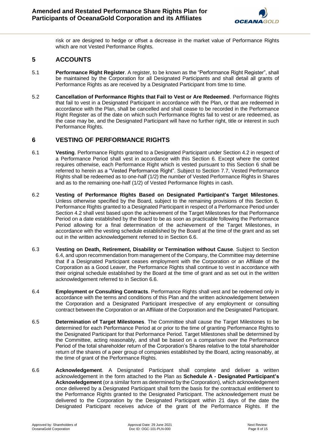

risk or are designed to hedge or offset a decrease in the market value of Performance Rights which are not Vested Performance Rights.

# **5 ACCOUNTS**

- 5.1 **Performance Right Register**. A register, to be known as the "Performance Right Register", shall be maintained by the Corporation for all Designated Participants and shall detail all grants of Performance Rights as are received by a Designated Participant from time to time.
- 5.2 **Cancellation of Performance Rights that Fail to Vest or Are Redeemed**. Performance Rights that fail to vest in a Designated Participant in accordance with the Plan, or that are redeemed in accordance with the Plan, shall be cancelled and shall cease to be recorded in the Performance Right Register as of the date on which such Performance Rights fail to vest or are redeemed, as the case may be, and the Designated Participant will have no further right, title or interest in such Performance Rights.

# **6 VESTING OF PERFORMANCE RIGHTS**

- 6.1 **Vesting**. Performance Rights granted to a Designated Participant under Section 4.2 in respect of a Performance Period shall vest in accordance with this Section 6. Except where the context requires otherwise, each Performance Right which is vested pursuant to this Section 6 shall be referred to herein as a "Vested Performance Right". Subject to Section 7.7, Vested Performance Rights shall be redeemed as to one-half (1/2) the number of Vested Performance Rights in Shares and as to the remaining one-half (1/2) of Vested Performance Rights in cash.
- 6.2 **Vesting of Performance Rights Based on Designated Participant's Target Milestones**. Unless otherwise specified by the Board, subject to the remaining provisions of this Section 6, Performance Rights granted to a Designated Participant in respect of a Performance Period under Section 4.2 shall vest based upon the achievement of the Target Milestones for that Performance Period on a date established by the Board to be as soon as practicable following the Performance Period allowing for a final determination of the achievement of the Target Milestones, in accordance with the vesting schedule established by the Board at the time of the grant and as set out in the written acknowledgement referred to in Section 6.6.
- 6.3 **Vesting on Death, Retirement, Disability or Termination without Cause**. Subject to Section 6.4, and upon recommendation from management of the Company, the Committee may determine that if a Designated Participant ceases employment with the Corporation or an Affiliate of the Corporation as a Good Leaver, the Performance Rights shall continue to vest in accordance with their original schedule established by the Board at the time of grant and as set out in the written acknowledgement referred to in Section 6.6.
- 6.4 **Employment or Consulting Contracts**. Performance Rights shall vest and be redeemed only in accordance with the terms and conditions of this Plan and the written acknowledgement between the Corporation and a Designated Participant irrespective of any employment or consulting contract between the Corporation or an Affiliate of the Corporation and the Designated Participant.
- 6.5 **Determination of Target Milestones**. The Committee shall cause the Target Milestones to be determined for each Performance Period at or prior to the time of granting Performance Rights to the Designated Participant for that Performance Period. Target Milestones shall be determined by the Committee, acting reasonably, and shall be based on a comparison over the Performance Period of the total shareholder return of the Corporation's Shares relative to the total shareholder return of the shares of a peer group of companies established by the Board, acting reasonably, at the time of grant of the Performance Rights.
- 6.6 **Acknowledgement**. A Designated Participant shall complete and deliver a written acknowledgement in the form attached to the Plan as **Schedule A - Designated Participant's Acknowledgement** (or a similar form as determined by the Corporation), which acknowledgement once delivered by a Designated Participant shall form the basis for the contractual entitlement to the Performance Rights granted to the Designated Participant. The acknowledgement must be delivered to the Corporation by the Designated Participant within 21 days of the date the Designated Participant receives advice of the grant of the Performance Rights. If the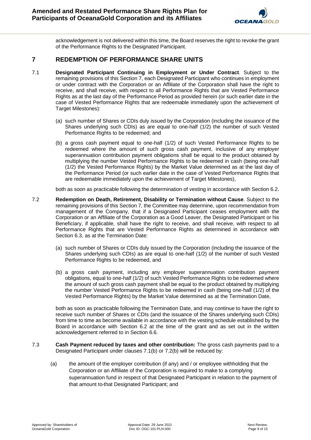

acknowledgement is not delivered within this time, the Board reserves the right to revoke the grant of the Performance Rights to the Designated Participant.

## **7 REDEMPTION OF PERFORMANCE SHARE UNITS**

- 7.1 **Designated Participant Continuing in Employment or Under Contract**. Subject to the remaining provisions of this Section 7, each Designated Participant who continues in employment or under contract with the Corporation or an Affiliate of the Corporation shall have the right to receive, and shall receive, with respect to all Performance Rights that are Vested Performance Rights as at the last day of the Performance Period as provided herein (or such earlier date in the case of Vested Performance Rights that are redeemable immediately upon the achievement of Target Milestones):
	- (a) such number of Shares or CDIs duly issued by the Corporation (including the issuance of the Shares underlying such CDIs) as are equal to one-half (1/2) the number of such Vested Performance Rights to be redeemed; and
	- (b) a gross cash payment equal to one-half (1/2) of such Vested Performance Rights to be redeemed where the amount of such gross cash payment, inclusive of any employer superannuation contribution payment obligations shall be equal to the product obtained by multiplying the number Vested Performance Rights to be redeemed in cash (being one-half (1/2) the Vested Performance Rights) by the Market Value determined as at the last day of the Performance Period (or such earlier date in the case of Vested Performance Rights that are redeemable immediately upon the achievement of Target Milestones),

both as soon as practicable following the determination of vesting in accordance with Section 6.2.

- 7.2 **Redemption on Death, Retirement, Disability or Termination without Cause**. Subject to the remaining provisions of this Section 7, the Committee may determine, upon recommendation from management of the Company, that if a Designated Participant ceases employment with the Corporation or an Affiliate of the Corporation as a Good Leaver, the Designated Participant or his Beneficiary, if applicable, shall have the right to receive, and shall receive, with respect to all Performance Rights that are Vested Performance Rights as determined in accordance with Section 6.3, as at the Termination Date:
	- (a) such number of Shares or CDIs duly issued by the Corporation (including the issuance of the Shares underlying such CDIs) as are equal to one-half (1/2) of the number of such Vested Performance Rights to be redeemed, and
	- (b) a gross cash payment, including any employer superannuation contribution payment obligations, equal to one-half (1/2) of such Vested Performance Rights to be redeemed where the amount of such gross cash payment shall be equal to the product obtained by multiplying the number Vested Performance Rights to be redeemed in cash (being one-half (1/2) of the Vested Performance Rights) by the Market Value determined as at the Termination Date,

both as soon as practicable following the Termination Date, and may continue to have the right to receive such number of Shares or CDIs (and the issuance of the Shares underlying such CDIs) from time to time as become available in accordance with the vesting schedule established by the Board in accordance with Section 6.2 at the time of the grant and as set out in the written acknowledgement referred to in Section 6.6.

- 7.3 **Cash Payment reduced by taxes and other contribution:** The gross cash payments paid to a Designated Participant under clauses 7.1(b) or 7.2(b) will be reduced by:
	- (a) the amount of the employer contribution (if any) and / or employee withholding that the Corporation or an Affiliate of the Corporation is required to make to a complying superannuation fund in respect of that Designated Participant in relation to the payment of that amount to that Designated Participant; and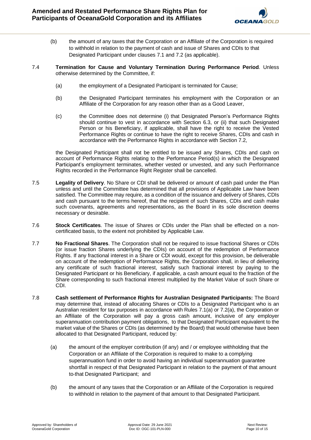

- (b) the amount of any taxes that the Corporation or an Affiliate of the Corporation is required to withhold in relation to the payment of cash and issue of Shares and CDIs to that Designated Participant under clauses 7.1 and 7.2 (as applicable).
- 7.4 **Termination for Cause and Voluntary Termination During Performance Period**. Unless otherwise determined by the Committee, if:
	- (a) the employment of a Designated Participant is terminated for Cause;
	- (b) the Designated Participant terminates his employment with the Corporation or an Affiliate of the Corporation for any reason other than as a Good Leaver,
	- (c) the Committee does not determine (i) that Designated Person's Performance Rights should continue to vest in accordance with Section 6.3, or (ii) that such Designated Person or his Beneficiary, if applicable, shall have the right to receive the Vested Performance Rights or continue to have the right to receive Shares, CDIs and cash in accordance with the Performance Rights in accordance with Section 7.2,

the Designated Participant shall not be entitled to be issued any Shares, CDIs and cash on account of Performance Rights relating to the Performance Period(s) in which the Designated Participant's employment terminates, whether vested or unvested, and any such Performance Rights recorded in the Performance Right Register shall be cancelled.

- 7.5 **Legality of Delivery**. No Share or CDI shall be delivered or amount of cash paid under the Plan unless and until the Committee has determined that all provisions of Applicable Law have been satisfied. The Committee may require, as a condition of the issuance and delivery of Shares, CDIs and cash pursuant to the terms hereof, that the recipient of such Shares, CDIs and cash make such covenants, agreements and representations, as the Board in its sole discretion deems necessary or desirable.
- 7.6 **Stock Certificates**. The issue of Shares or CDIs under the Plan shall be effected on a noncertificated basis, to the extent not prohibited by Applicable Law.
- 7.7 **No Fractional Shares**. The Corporation shall not be required to issue fractional Shares or CDIs (or issue fraction Shares underlying the CDIs) on account of the redemption of Performance Rights. If any fractional interest in a Share or CDI would, except for this provision, be deliverable on account of the redemption of Performance Rights, the Corporation shall, in lieu of delivering any certificate of such fractional interest, satisfy such fractional interest by paying to the Designated Participant or his Beneficiary, if applicable, a cash amount equal to the fraction of the Share corresponding to such fractional interest multiplied by the Market Value of such Share or CDI.
- 7.8 **Cash settlement of Performance Rights for Australian Designated Participants:** The Board may determine that, instead of allocating Shares or CDIs to a Designated Participant who is an Australian resident for tax purposes in accordance with Rules 7.1(a) or 7.2(a), the Corporation or an Affiliate of the Corporation will pay a gross cash amount, inclusive of any employer superannuation contribution payment obligations, to that Designated Participant equivalent to the market value of the Shares or CDIs (as determined by the Board) that would otherwise have been allocated to that Designated Participant, reduced by:
	- (a) the amount of the employer contribution (if any) and / or employee withholding that the Corporation or an Affiliate of the Corporation is required to make to a complying superannuation fund in order to avoid having an individual superannuation guarantee shortfall in respect of that Designated Participant in relation to the payment of that amount to that Designated Participant; and
	- (b) the amount of any taxes that the Corporation or an Affiliate of the Corporation is required to withhold in relation to the payment of that amount to that Designated Participant.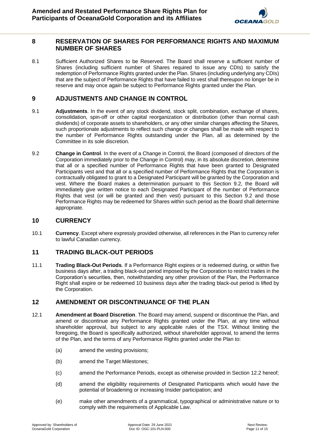

### **8 RESERVATION OF SHARES FOR PERFORMANCE RIGHTS AND MAXIMUM NUMBER OF SHARES**

8.1 Sufficient Authorized Shares to be Reserved. The Board shall reserve a sufficient number of Shares (including sufficient number of Shares required to issue any CDIs) to satisfy the redemption of Performance Rights granted under the Plan. Shares (including underlying any CDIs) that are the subject of Performance Rights that have failed to vest shall thereupon no longer be in reserve and may once again be subject to Performance Rights granted under the Plan.

## **9 ADJUSTMENTS AND CHANGE IN CONTROL**

- 9.1 **Adjustments**. In the event of any stock dividend, stock split, combination, exchange of shares, consolidation, spin-off or other capital reorganization or distribution (other than normal cash dividends) of corporate assets to shareholders, or any other similar changes affecting the Shares, such proportionate adjustments to reflect such change or changes shall be made with respect to the number of Performance Rights outstanding under the Plan, all as determined by the Committee in its sole discretion.
- 9.2 **Change in Control**. In the event of a Change in Control, the Board (composed of directors of the Corporation immediately prior to the Change in Control) may, in its absolute discretion, determine that all or a specified number of Performance Rights that have been granted to Designated Participants vest and that all or a specified number of Performance Rights that the Corporation is contractually obligated to grant to a Designated Participant will be granted by the Corporation and vest. Where the Board makes a determination pursuant to this Section 9.2, the Board will immediately give written notice to each Designated Participant of the number of Performance Rights that vest (or will be granted and then vest) pursuant to this Section 9.2 and those Performance Rights may be redeemed for Shares within such period as the Board shall determine appropriate.

#### **10 CURRENCY**

10.1 **Currency**. Except where expressly provided otherwise, all references in the Plan to currency refer to lawful Canadian currency.

### **11 TRADING BLACK-OUT PERIODS**

11.1 **Trading Black-Out Periods**. If a Performance Right expires or is redeemed during, or within five business days after, a trading black-out period imposed by the Corporation to restrict trades in the Corporation's securities, then, notwithstanding any other provision of the Plan, the Performance Right shall expire or be redeemed 10 business days after the trading black-out period is lifted by the Corporation.

### **12 AMENDMENT OR DISCONTINUANCE OF THE PLAN**

- 12.1 **Amendment at Board Discretion**. The Board may amend, suspend or discontinue the Plan, and amend or discontinue any Performance Rights granted under the Plan, at any time without shareholder approval, but subject to any applicable rules of the TSX. Without limiting the foregoing, the Board is specifically authorized, without shareholder approval, to amend the terms of the Plan, and the terms of any Performance Rights granted under the Plan to:
	- (a) amend the vesting provisions;
	- (b) amend the Target Milestones;
	- (c) amend the Performance Periods, except as otherwise provided in Section 12.2 hereof;
	- (d) amend the eligibility requirements of Designated Participants which would have the potential of broadening or increasing Insider participation; and
	- (e) make other amendments of a grammatical, typographical or administrative nature or to comply with the requirements of Applicable Law.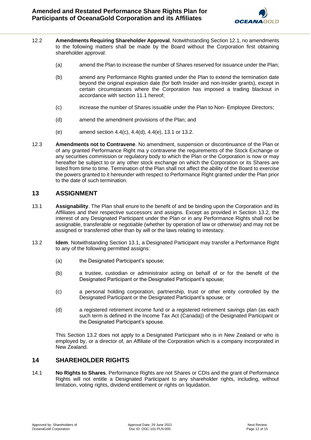

- 12.2 **Amendments Requiring Shareholder Approval**. Notwithstanding Section 12.1, no amendments to the following matters shall be made by the Board without the Corporation first obtaining shareholder approval:
	- (a) amend the Plan to increase the number of Shares reserved for issuance under the Plan;
	- (b) amend any Performance Rights granted under the Plan to extend the termination date beyond the original expiration date (for both Insider and non-Insider grants), except in certain circumstances where the Corporation has imposed a trading blackout in accordance with section 11.1 hereof;
	- (c) increase the number of Shares issuable under the Plan to Non- Employee Directors;
	- (d) amend the amendment provisions of the Plan; and
	- (e) amend section 4.4(c), 4.4(d), 4.4(e), 13.1 or 13.2.
- 12.3 **Amendments not to Contravene**. No amendment, suspension or discontinuance of the Plan or of any granted Performance Right ma y contravene the requirements of the Stock Exchange or any securities commission or regulatory body to which the Plan or the Corporation is now or may hereafter be subject to or any other stock exchange on which the Corporation or its Shares are listed from time to time. Termination of the Plan shall not affect the ability of the Board to exercise the powers granted to it hereunder with respect to Performance Right granted under the Plan prior to the date of such termination.

## **13 ASSIGNMENT**

- 13.1 **Assignability**. The Plan shall enure to the benefit of and be binding upon the Corporation and its Affiliates and their respective successors and assigns. Except as provided in Section 13.2, the interest of any Designated Participant under the Plan or in any Performance Rights shall not be assignable, transferable or negotiable (whether by operation of law or otherwise) and may not be assigned or transferred other than by will or the laws relating to intestacy.
- 13.2 **Idem**. Notwithstanding Section 13.1, a Designated Participant may transfer a Performance Right to any of the following permitted assigns:
	- (a) the Designated Participant's spouse;
	- (b) a trustee, custodian or administrator acting on behalf of or for the benefit of the Designated Participant or the Designated Participant's spouse;
	- (c) a personal holding corporation, partnership, trust or other entity controlled by the Designated Participant or the Designated Participant's spouse; or
	- (d) a registered retirement income fund or a registered retirement savings plan (as each such term is defined in the Income Tax Act (Canada)) of the Designated Participant or the Designated Participant's spouse.

This Section 13.2 does not apply to a Designated Participant who is in New Zealand or who is employed by, or a director of, an Affiliate of the Corporation which is a company incorporated in New Zealand.

## **14 SHAREHOLDER RIGHTS**

14.1 **No Rights to Shares**. Performance Rights are not Shares or CDIs and the grant of Performance Rights will not entitle a Designated Participant to any shareholder rights, including, without limitation, voting rights, dividend entitlement or rights on liquidation.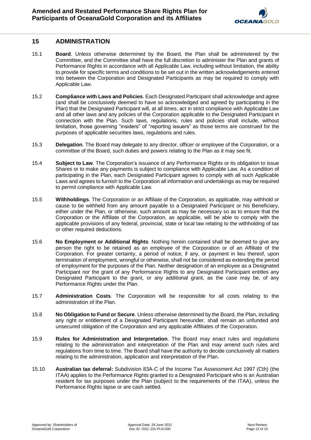## **15 ADMINISTRATION**

- 15.1 **Board**. Unless otherwise determined by the Board, the Plan shall be administered by the Committee, and the Committee shall have the full discretion to administer the Plan and grants of Performance Rights in accordance with all Applicable Law, including without limitation, the ability to provide for specific terms and conditions to be set out in the written acknowledgements entered into between the Corporation and Designated Participants as may be required to comply with Applicable Law.
- 15.2 **Compliance with Laws and Policies**. Each Designated Participant shall acknowledge and agree (and shall be conclusively deemed to have so acknowledged and agreed by participating in the Plan) that the Designated Participant will, at all times, act in strict compliance with Applicable Law and all other laws and any policies of the Corporation applicable to the Designated Participant in connection with the Plan. Such laws, regulations, rules and policies shall include, without limitation, those governing "insiders" of "reporting issuers" as those terms are construed for the purposes of applicable securities laws, regulations and rules.
- 15.3 **Delegation**. The Board may delegate to any director, officer or employee of the Corporation, or a committee of the Board, such duties and powers relating to the Plan as it may see fit.
- 15.4 **Subject to Law**. The Corporation's issuance of any Performance Rights or its obligation to issue Shares or to make any payments is subject to compliance with Applicable Law. As a condition of participating in the Plan, each Designated Participant agrees to comply with all such Applicable Laws and agrees to furnish to the Corporation all information and undertakings as may be required to permit compliance with Applicable Law.
- 15.5 **Withholdings**. The Corporation or an Affiliate of the Corporation, as applicable, may withhold or cause to be withheld from any amount payable to a Designated Participant or his Beneficiary, either under the Plan, or otherwise, such amount as may be necessary so as to ensure that the Corporation or the Affiliate of the Corporation, as applicable, will be able to comply with the applicable provisions of any federal, provincial, state or local law relating to the withholding of tax or other required deductions.
- 15.6 **No Employment or Additional Rights**. Nothing herein contained shall be deemed to give any person the right to be retained as an employee of the Corporation or of an Affiliate of the Corporation. For greater certainty, a period of notice, if any, or payment in lieu thereof, upon termination of employment, wrongful or otherwise, shall not be considered as extending the period of employment for the purposes of the Plan. Neither designation of an employee as a Designated Participant nor the grant of any Performance Rights to any Designated Participant entitles any Designated Participant to the grant, or any additional grant, as the case may be, of any Performance Rights under the Plan.
- 15.7 **Administration Costs**. The Corporation will be responsible for all costs relating to the administration of the Plan.
- 15.8 **No Obligation to Fund or Secure**. Unless otherwise determined by the Board, the Plan, including any right or entitlement of a Designated Participant hereunder. shall remain an unfunded and unsecured obligation of the Corporation and any applicable Affiliates of the Corporation.
- 15.9 **Rules for Administration and Interpretation**. The Board may enact rules and regulations relating to the administration and interpretation of the Plan and may amend such rules and regulations from time to time. The Board shall have the authority to decide conclusively all matters relating to the administration, application and interpretation of the Plan.
- 15.10 **Australian tax deferral:** Subdivision 83A-C of the Income Tax Assessment Act 1997 (Cth) (the ITAA) applies to the Performance Rights granted to a Designated Participant who is an Australian resident for tax purposes under the Plan (subject to the requirements of the ITAA), unless the Performance Rights lapse or are cash settled.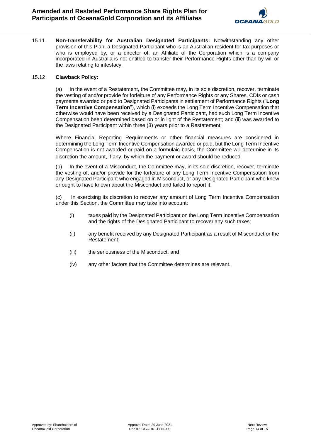

15.11 **Non-transferability for Australian Designated Participants:** Notwithstanding any other provision of this Plan, a Designated Participant who is an Australian resident for tax purposes or who is employed by, or a director of, an Affiliate of the Corporation which is a company incorporated in Australia is not entitled to transfer their Performance Rights other than by will or the laws relating to intestacy.

#### 15.12 **Clawback Policy:**

(a) In the event of a Restatement, the Committee may, in its sole discretion, recover, terminate the vesting of and/or provide for forfeiture of any Performance Rights or any Shares, CDIs or cash payments awarded or paid to Designated Participants in settlement of Performance Rights ("**Long Term Incentive Compensation**"), which (i) exceeds the Long Term Incentive Compensation that otherwise would have been received by a Designated Participant, had such Long Term Incentive Compensation been determined based on or in light of the Restatement; and (ii) was awarded to the Designated Participant within three (3) years prior to a Restatement.

Where Financial Reporting Requirements or other financial measures are considered in determining the Long Term Incentive Compensation awarded or paid, but the Long Term Incentive Compensation is not awarded or paid on a formulaic basis, the Committee will determine in its discretion the amount, if any, by which the payment or award should be reduced.

(b) In the event of a Misconduct, the Committee may, in its sole discretion, recover, terminate the vesting of, and/or provide for the forfeiture of any Long Term Incentive Compensation from any Designated Participant who engaged in Misconduct, or any Designated Participant who knew or ought to have known about the Misconduct and failed to report it.

(c) In exercising its discretion to recover any amount of Long Term Incentive Compensation under this Section, the Committee may take into account:

- (i) taxes paid by the Designated Participant on the Long Term Incentive Compensation and the rights of the Designated Participant to recover any such taxes;
- (ii) any benefit received by any Designated Participant as a result of Misconduct or the Restatement;
- (iii) the seriousness of the Misconduct; and
- (iv) any other factors that the Committee determines are relevant.